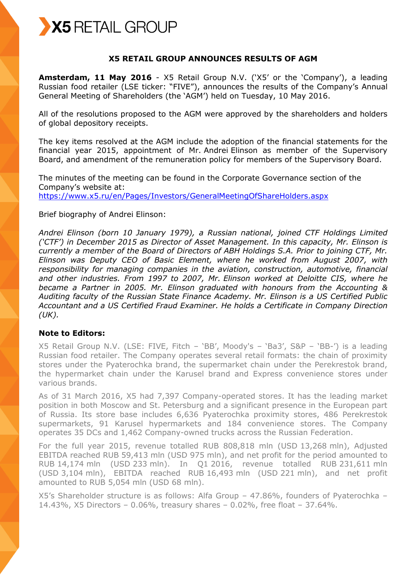

## **X5 RETAIL GROUP ANNOUNCES RESULTS OF AGM**

**Amsterdam, 11 May 2016** - X5 Retail Group N.V. ('X5' or the 'Company'), a leading Russian food retailer (LSE ticker: "FIVE"), announces the results of the Company's Annual General Meeting of Shareholders (the 'AGM') held on Tuesday, 10 May 2016.

All of the resolutions proposed to the AGM were approved by the shareholders and holders of global depository receipts.

The key items resolved at the AGM include the adoption of the financial statements for the financial year 2015, appointment of Mr. Andrei Elinson as member of the Supervisory Board, and amendment of the remuneration policy for members of the Supervisory Board.

The minutes of the meeting can be found in the Corporate Governance section of the Company's website at: <https://www.x5.ru/en/Pages/Investors/GeneralMeetingOfShareHolders.aspx>

#### Brief biography of Andrei Elinson:

*Andrei Elinson (born 10 January 1979), a Russian national, joined CTF Holdings Limited ('CTF') in December 2015 as Director of Asset Management. In this capacity, Mr. Elinson is currently a member of the Board of Directors of ABH Holdings S.A. Prior to joining CTF, Mr. Elinson was Deputy CEO of Basic Element, where he worked from August 2007, with responsibility for managing companies in the aviation, construction, automotive, financial and other industries. From 1997 to 2007, Mr. Elinson worked at Deloitte CIS, where he became a Partner in 2005. Mr. Elinson graduated with honours from the Accounting & Auditing faculty of the Russian State Finance Academy. Mr. Elinson is a US Certified Public Accountant and a US Certified Fraud Examiner. He holds a Certificate in Company Direction (UK).*

# **Note to Editors:**

X5 Retail Group N.V. (LSE: FIVE, Fitch – 'BB', Moody's – 'Ba3', S&P – 'BB-') is a leading Russian food retailer. The Company operates several retail formats: the chain of proximity stores under the Pyaterochka brand, the supermarket chain under the Perekrestok brand, the hypermarket chain under the Karusel brand and Express convenience stores under various brands.

As of 31 March 2016, X5 had 7,397 Company-operated stores. It has the leading market position in both Moscow and St. Petersburg and a significant presence in the European part of Russia. Its store base includes 6,636 Pyaterochka proximity stores, 486 Perekrestok supermarkets, 91 Karusel hypermarkets and 184 convenience stores. The Company operates 35 DCs and 1,462 Company-owned trucks across the Russian Federation.

For the full year 2015, revenue totalled RUB 808,818 mln (USD 13,268 mln), Adjusted EBITDA reached RUB 59,413 mln (USD 975 mln), and net profit for the period amounted to RUB 14,174 mln (USD 233 mln). In Q1 2016, revenue totalled RUB 231,611 mln (USD 3,104 mln), EBITDA reached RUB 16,493 mln (USD 221 mln), and net profit amounted to RUB 5,054 mln (USD 68 mln).

X5's Shareholder structure is as follows: Alfa Group – 47.86%, founders of Pyaterochka – 14.43%, X5 Directors – 0.06%, treasury shares – 0.02%, free float – 37.64%.